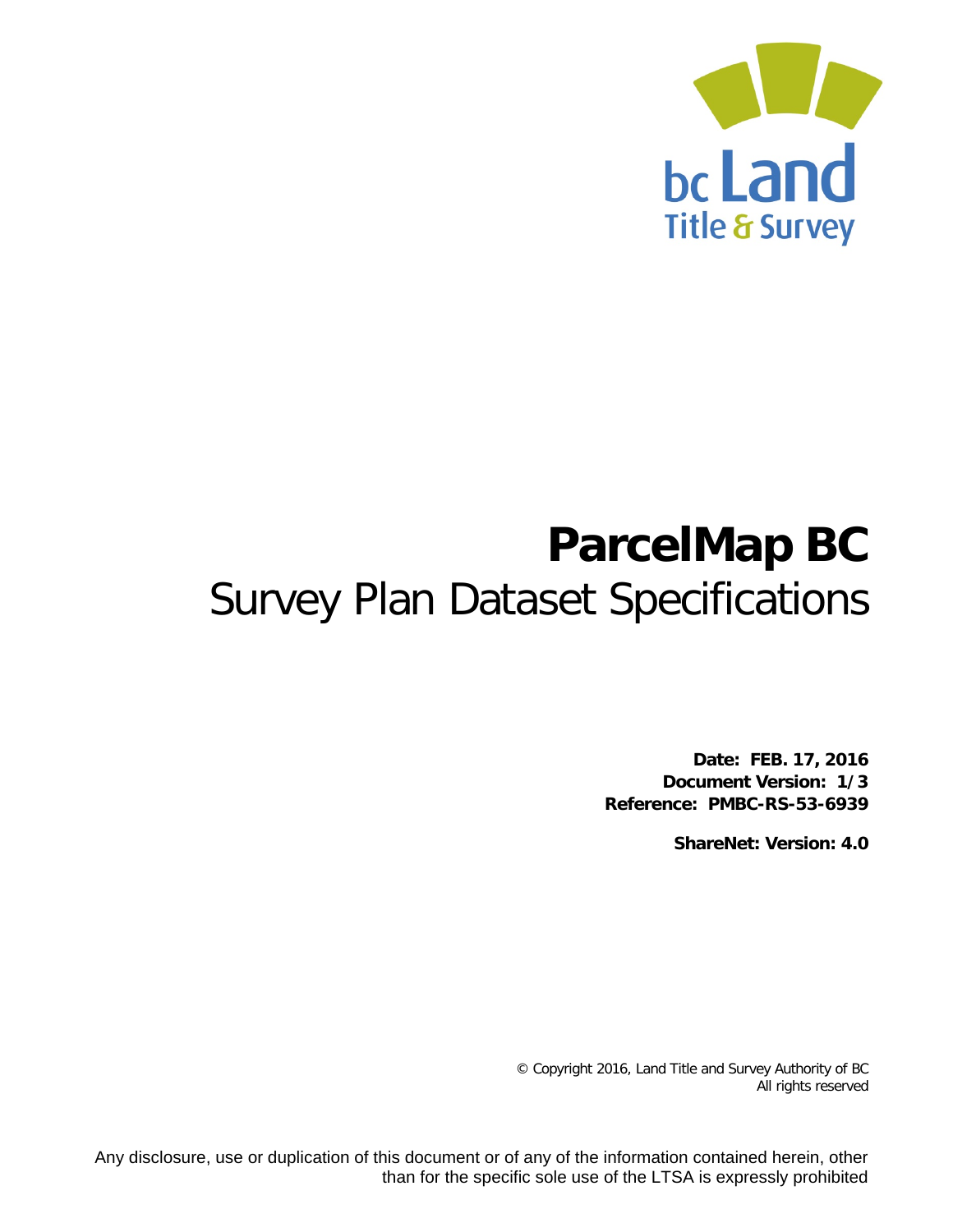

# **ParcelMap BC** Survey Plan Dataset Specifications

**Date: FEB. 17, 2016 Document Version: 1/3 Reference: PMBC-RS-53-6939**

**ShareNet: Version: 4.0**

© Copyright 2016, Land Title and Survey Authority of BC All rights reserved

Any disclosure, use or duplication of this document or of any of the information contained herein, other than for the specific sole use of the LTSA is expressly prohibited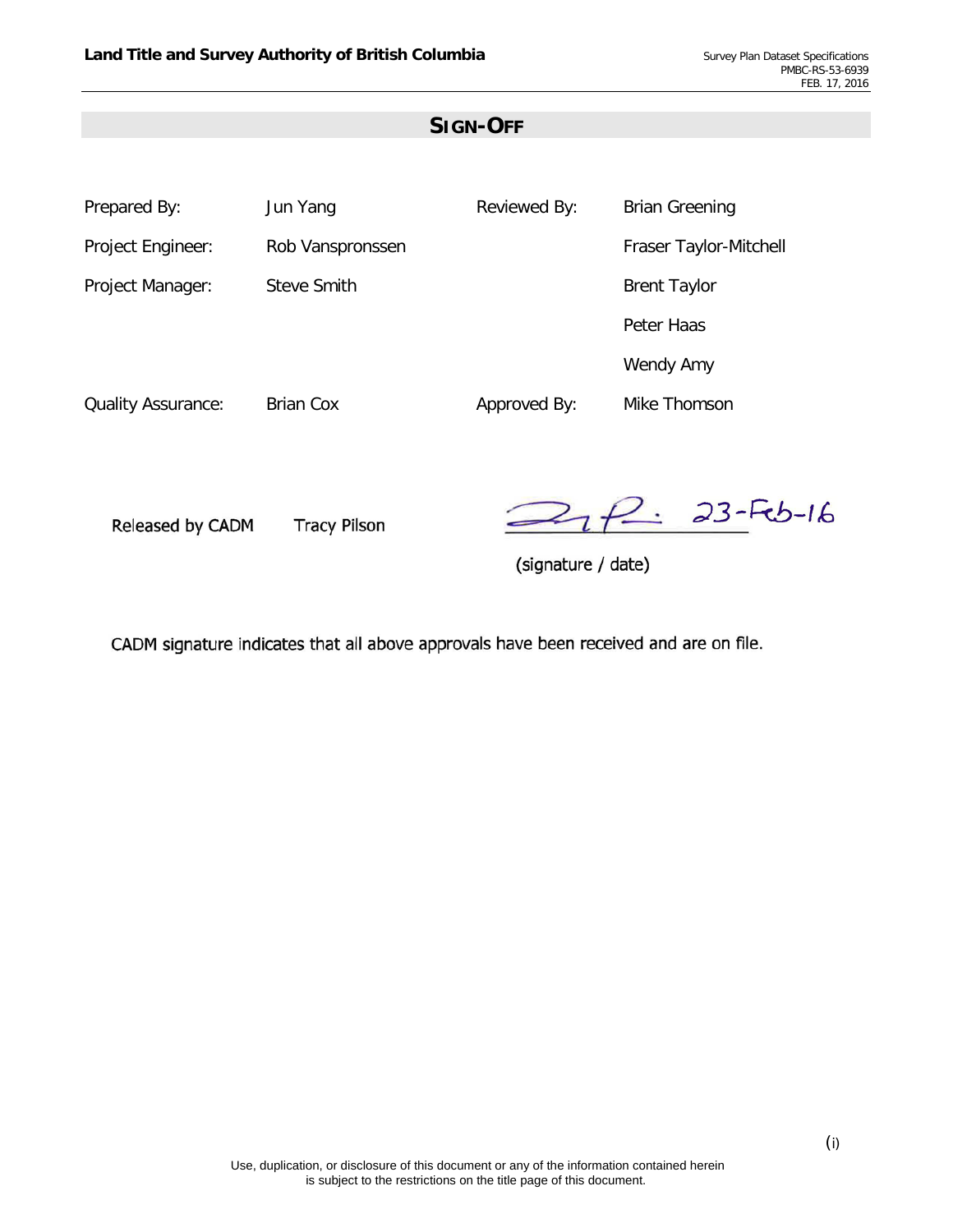## **SIGN-OFF**

| Prepared By:              | Jun Yang         | Reviewed By: | <b>Brian Greening</b>  |
|---------------------------|------------------|--------------|------------------------|
| Project Engineer:         | Rob Vanspronssen |              | Fraser Taylor-Mitchell |
| Project Manager:          | Steve Smith      |              | <b>Brent Taylor</b>    |
|                           |                  |              | Peter Haas             |
|                           |                  |              | Wendy Amy              |
| <b>Quality Assurance:</b> | <b>Brian Cox</b> | Approved By: | Mike Thomson           |

Released by CADM

**Tracy Pilson** 

21 P .: 23-Feb-16

(signature / date)

CADM signature indicates that all above approvals have been received and are on file.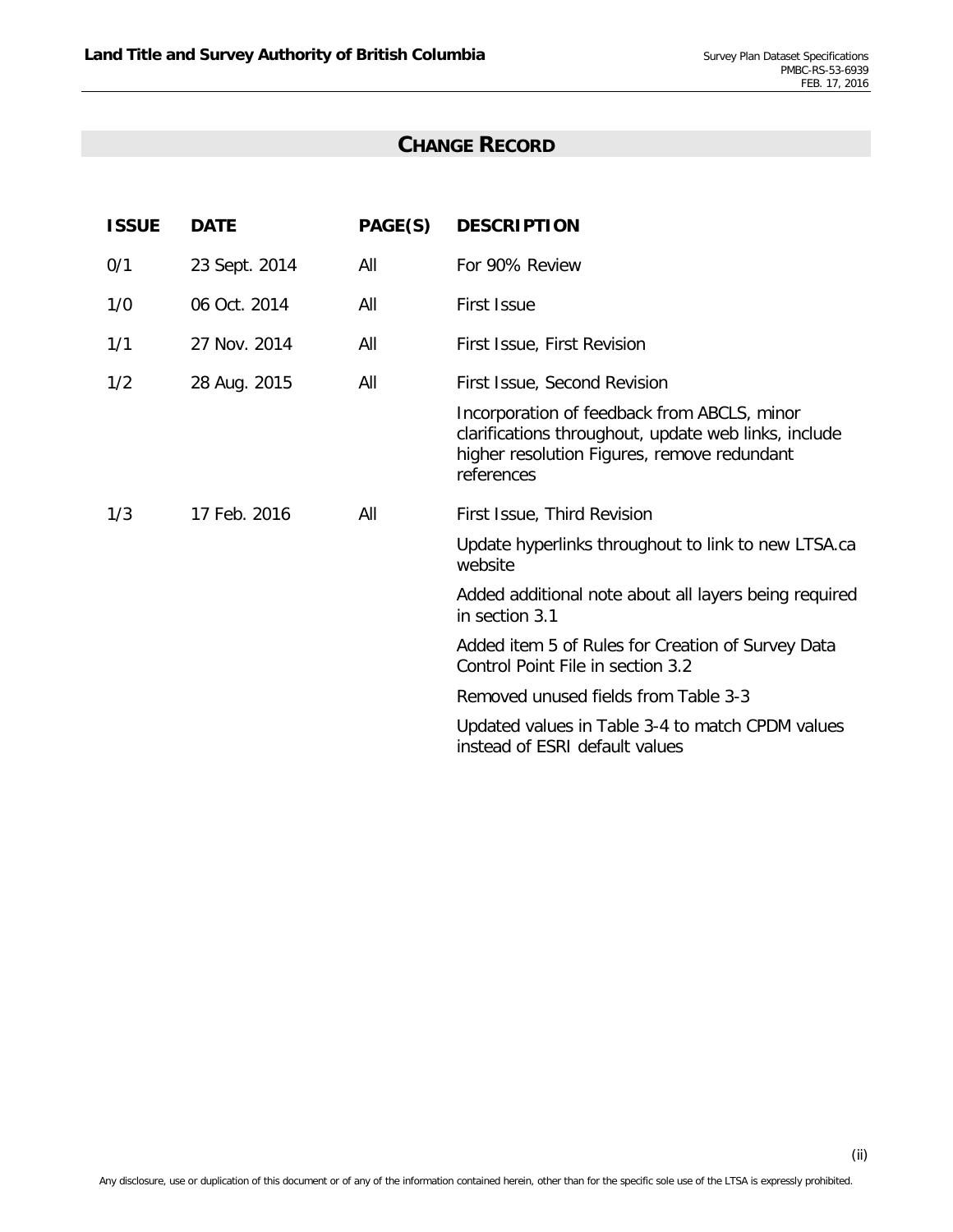## **CHANGE RECORD**

| <b>ISSUE</b> | <b>DATE</b>   | PAGE(S) | <b>DESCRIPTION</b>                                                                                                                                               |
|--------------|---------------|---------|------------------------------------------------------------------------------------------------------------------------------------------------------------------|
| 0/1          | 23 Sept. 2014 | All     | For 90% Review                                                                                                                                                   |
| 1/0          | 06 Oct. 2014  | All     | <b>First Issue</b>                                                                                                                                               |
| 1/1          | 27 Nov. 2014  | All     | First Issue, First Revision                                                                                                                                      |
| 1/2          | 28 Aug. 2015  | All     | First Issue, Second Revision                                                                                                                                     |
|              |               |         | Incorporation of feedback from ABCLS, minor<br>clarifications throughout, update web links, include<br>higher resolution Figures, remove redundant<br>references |
| 1/3          | 17 Feb. 2016  | All     | First Issue, Third Revision                                                                                                                                      |
|              |               |         | Update hyperlinks throughout to link to new LTSA.ca<br>website                                                                                                   |
|              |               |         | Added additional note about all layers being required<br>in section 3.1                                                                                          |
|              |               |         | Added item 5 of Rules for Creation of Survey Data<br>Control Point File in section 3.2                                                                           |
|              |               |         | Removed unused fields from Table 3-3                                                                                                                             |
|              |               |         | Updated values in Table 3-4 to match CPDM values<br>instead of ESRI default values                                                                               |
|              |               |         |                                                                                                                                                                  |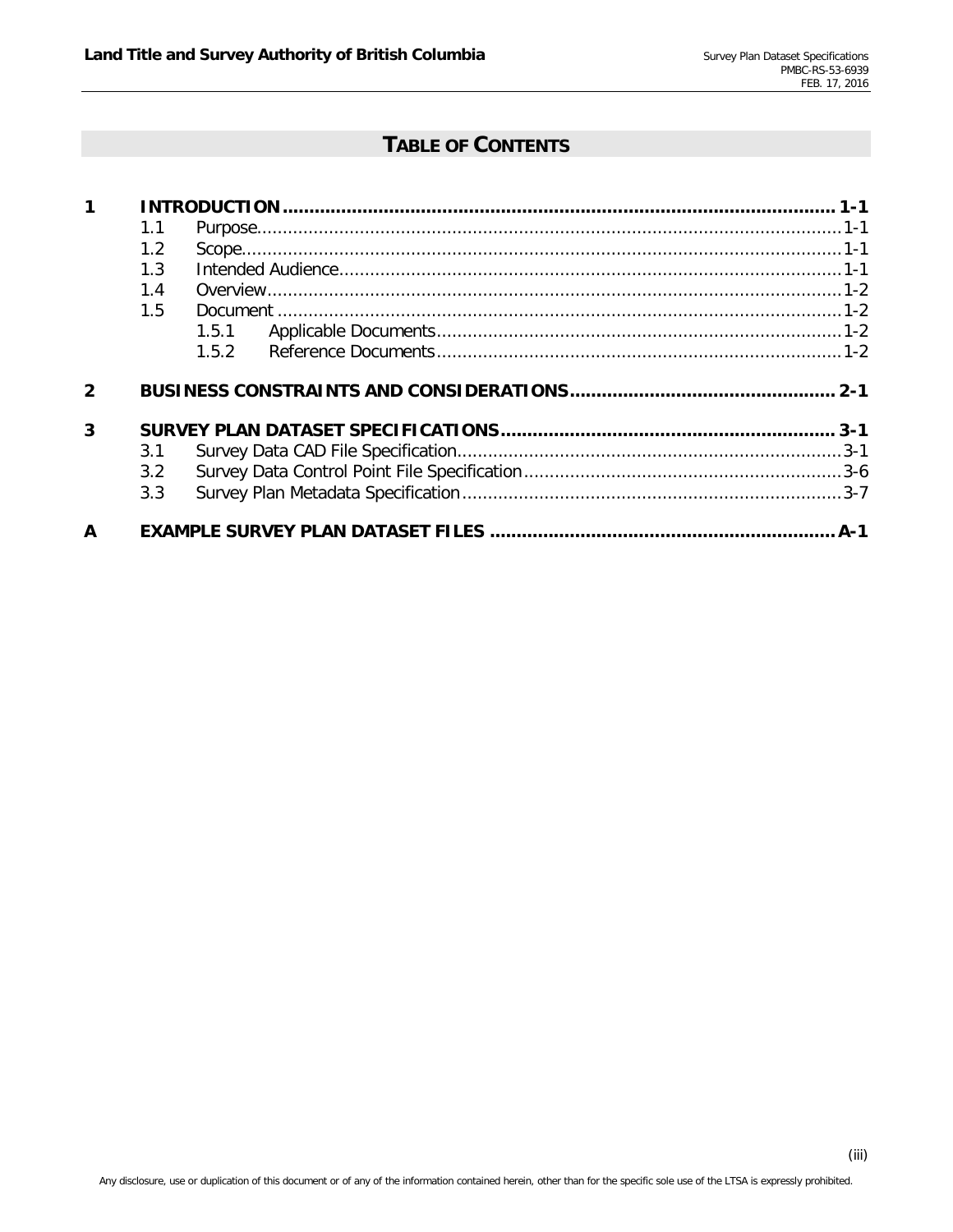## **TABLE OF CONTENTS**

|                     | 1.1           |       |  |
|---------------------|---------------|-------|--|
|                     | 1.2           |       |  |
|                     | 1.3           |       |  |
|                     | 1.4           |       |  |
|                     | 1.5           |       |  |
|                     |               | 1.5.1 |  |
|                     |               | 1.5.2 |  |
|                     |               |       |  |
|                     |               |       |  |
|                     |               |       |  |
| $\overline{2}$<br>3 | 3.1           |       |  |
|                     | $3.2^{\circ}$ |       |  |
|                     | 3.3           |       |  |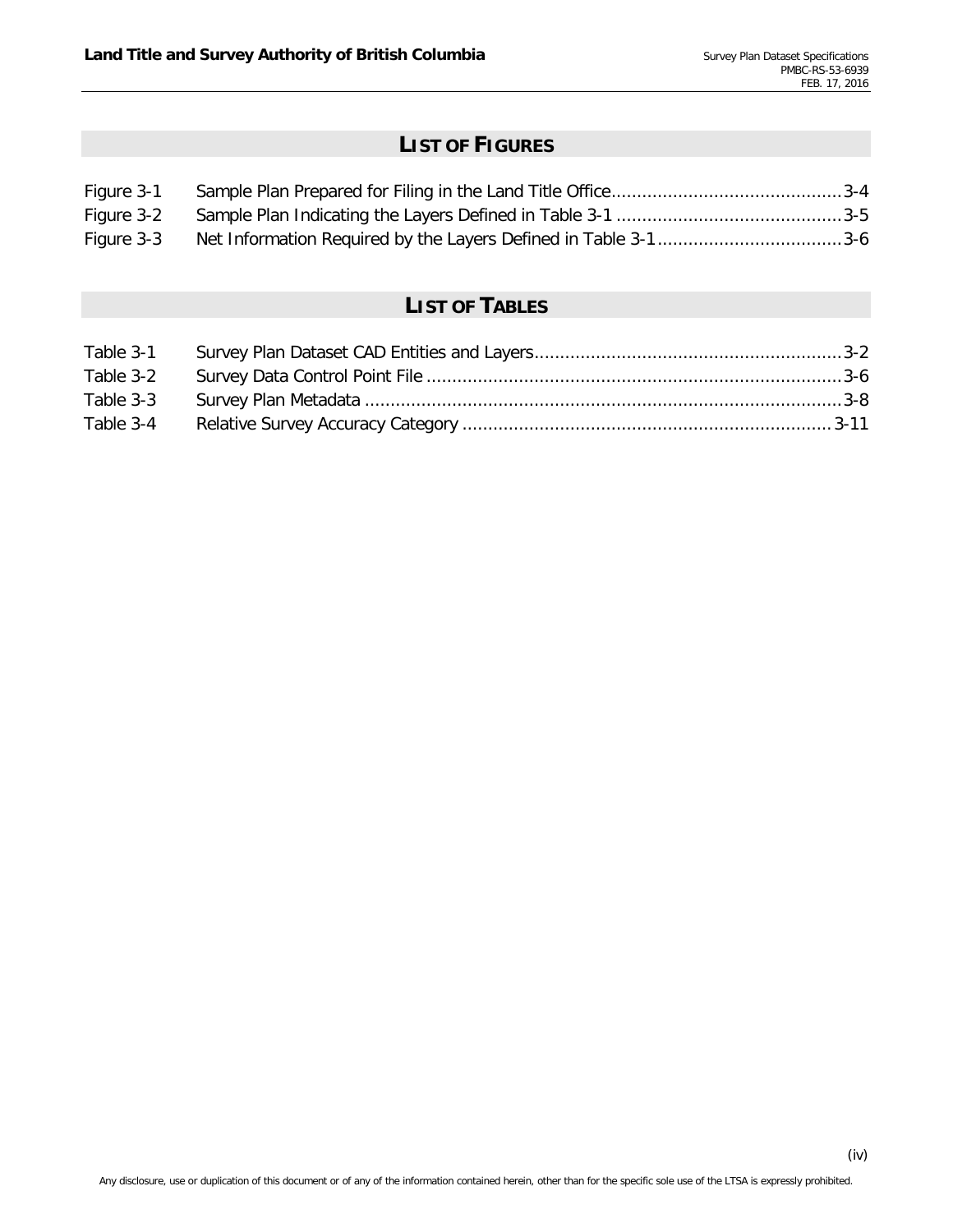# **LIST OF FIGURES**

| Figure 3-1 |  |
|------------|--|
| Figure 3-2 |  |
| Figure 3-3 |  |

# **LIST OF TABLES**

| Table 3-1 |  |
|-----------|--|
| Table 3-2 |  |
| Table 3-3 |  |
| Table 3-4 |  |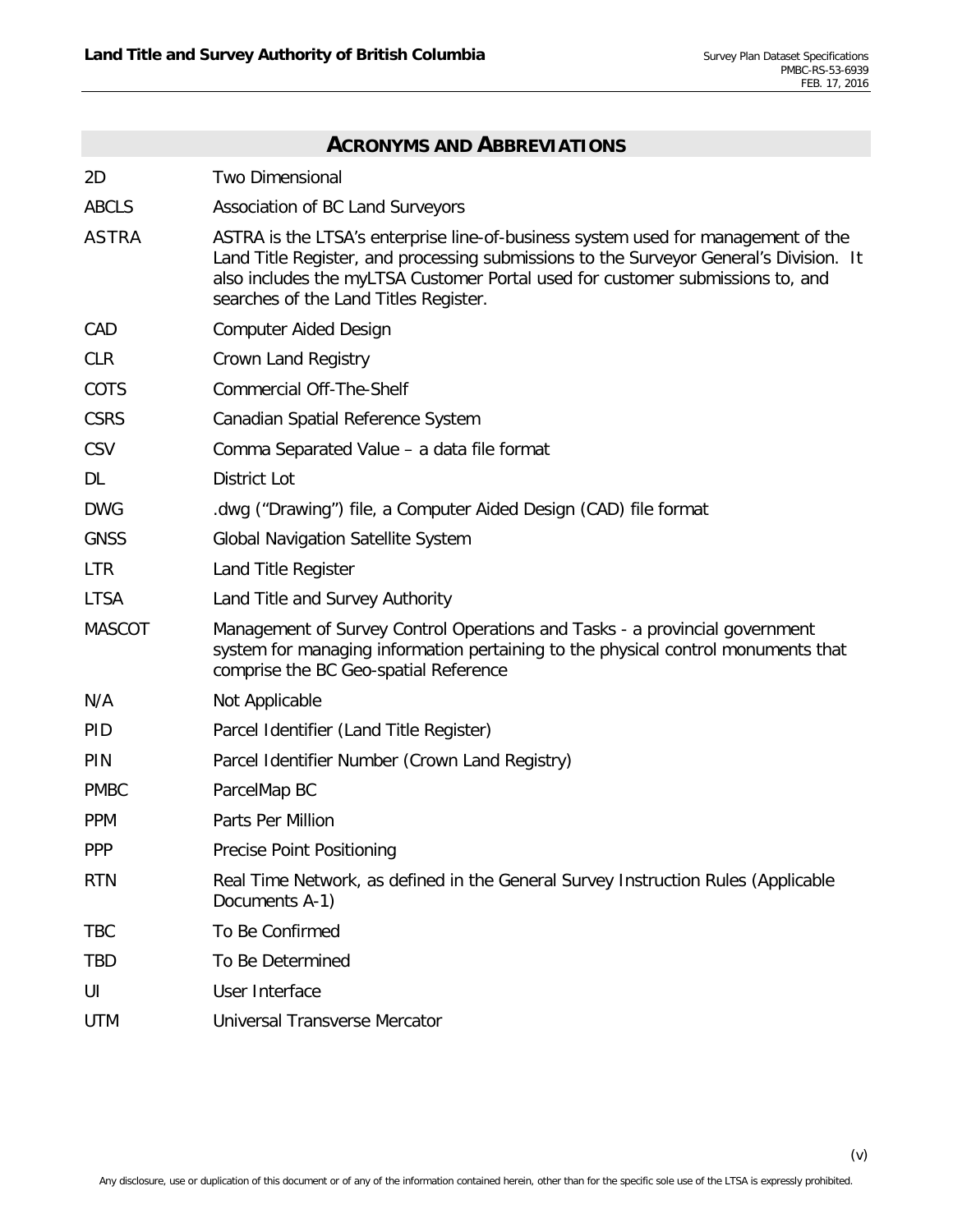| <b>ACRONYMS AND ABBREVIATIONS</b> |                                                                                                                                                                                                                                                                                                        |  |  |
|-----------------------------------|--------------------------------------------------------------------------------------------------------------------------------------------------------------------------------------------------------------------------------------------------------------------------------------------------------|--|--|
| 2D                                | <b>Two Dimensional</b>                                                                                                                                                                                                                                                                                 |  |  |
| <b>ABCLS</b>                      | Association of BC Land Surveyors                                                                                                                                                                                                                                                                       |  |  |
| <b>ASTRA</b>                      | ASTRA is the LTSA's enterprise line-of-business system used for management of the<br>Land Title Register, and processing submissions to the Surveyor General's Division. It<br>also includes the myLTSA Customer Portal used for customer submissions to, and<br>searches of the Land Titles Register. |  |  |
| CAD                               | <b>Computer Aided Design</b>                                                                                                                                                                                                                                                                           |  |  |
| <b>CLR</b>                        | Crown Land Registry                                                                                                                                                                                                                                                                                    |  |  |
| COTS                              | <b>Commercial Off-The-Shelf</b>                                                                                                                                                                                                                                                                        |  |  |
| <b>CSRS</b>                       | Canadian Spatial Reference System                                                                                                                                                                                                                                                                      |  |  |
| <b>CSV</b>                        | Comma Separated Value - a data file format                                                                                                                                                                                                                                                             |  |  |
| DL                                | <b>District Lot</b>                                                                                                                                                                                                                                                                                    |  |  |
| <b>DWG</b>                        | dwg ("Drawing") file, a Computer Aided Design (CAD) file format                                                                                                                                                                                                                                        |  |  |
| <b>GNSS</b>                       | <b>Global Navigation Satellite System</b>                                                                                                                                                                                                                                                              |  |  |
| <b>LTR</b>                        | Land Title Register                                                                                                                                                                                                                                                                                    |  |  |
| <b>LTSA</b>                       | Land Title and Survey Authority                                                                                                                                                                                                                                                                        |  |  |
| <b>MASCOT</b>                     | Management of Survey Control Operations and Tasks - a provincial government<br>system for managing information pertaining to the physical control monuments that<br>comprise the BC Geo-spatial Reference                                                                                              |  |  |
| N/A                               | Not Applicable                                                                                                                                                                                                                                                                                         |  |  |
| <b>PID</b>                        | Parcel Identifier (Land Title Register)                                                                                                                                                                                                                                                                |  |  |
| PIN                               | Parcel Identifier Number (Crown Land Registry)                                                                                                                                                                                                                                                         |  |  |
| <b>PMBC</b>                       | ParcelMap BC                                                                                                                                                                                                                                                                                           |  |  |
| <b>PPM</b>                        | Parts Per Million                                                                                                                                                                                                                                                                                      |  |  |
| <b>PPP</b>                        | Precise Point Positioning                                                                                                                                                                                                                                                                              |  |  |
| <b>RTN</b>                        | Real Time Network, as defined in the General Survey Instruction Rules (Applicable<br>Documents A-1)                                                                                                                                                                                                    |  |  |
| <b>TBC</b>                        | To Be Confirmed                                                                                                                                                                                                                                                                                        |  |  |
| <b>TBD</b>                        | To Be Determined                                                                                                                                                                                                                                                                                       |  |  |
| UI                                | User Interface                                                                                                                                                                                                                                                                                         |  |  |
| <b>UTM</b>                        | <b>Universal Transverse Mercator</b>                                                                                                                                                                                                                                                                   |  |  |

(v)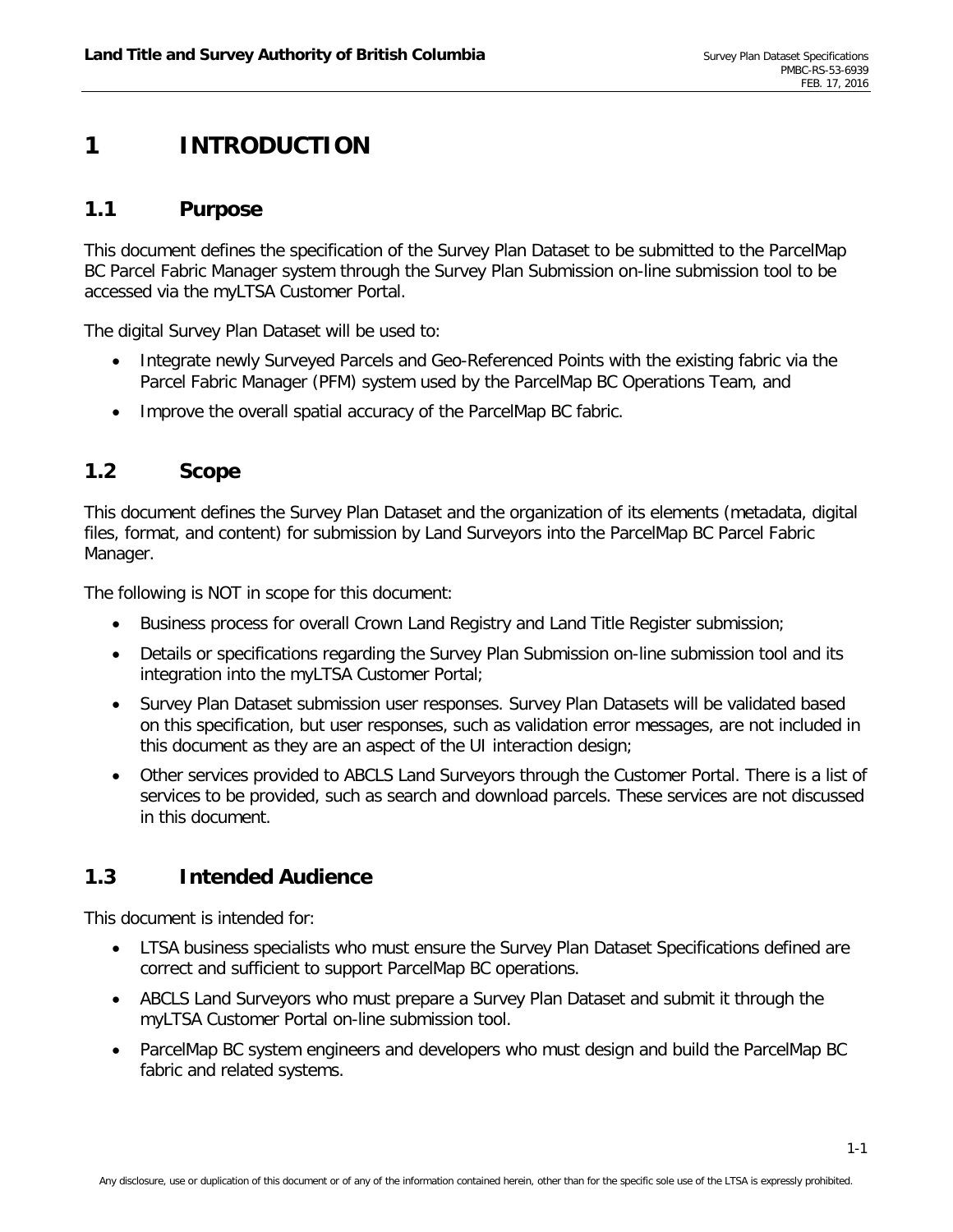# <span id="page-6-0"></span>**1 INTRODUCTION**

## <span id="page-6-1"></span>**1.1 Purpose**

This document defines the specification of the Survey Plan Dataset to be submitted to the ParcelMap BC Parcel Fabric Manager system through the Survey Plan Submission on-line submission tool to be accessed via the myLTSA Customer Portal.

The digital Survey Plan Dataset will be used to:

- Integrate newly Surveyed Parcels and Geo-Referenced Points with the existing fabric via the Parcel Fabric Manager (PFM) system used by the ParcelMap BC Operations Team, and
- <span id="page-6-2"></span>• Improve the overall spatial accuracy of the ParcelMap BC fabric.

### **1.2 Scope**

This document defines the Survey Plan Dataset and the organization of its elements (metadata, digital files, format, and content) for submission by Land Surveyors into the ParcelMap BC Parcel Fabric Manager.

The following is NOT in scope for this document:

- Business process for overall Crown Land Registry and Land Title Register submission;
- Details or specifications regarding the Survey Plan Submission on-line submission tool and its integration into the myLTSA Customer Portal;
- Survey Plan Dataset submission user responses. Survey Plan Datasets will be validated based on this specification, but user responses, such as validation error messages, are not included in this document as they are an aspect of the UI interaction design;
- Other services provided to ABCLS Land Surveyors through the Customer Portal. There is a list of services to be provided, such as search and download parcels. These services are not discussed in this document.

## <span id="page-6-3"></span>**1.3 Intended Audience**

This document is intended for:

- LTSA business specialists who must ensure the Survey Plan Dataset Specifications defined are correct and sufficient to support ParcelMap BC operations.
- ABCLS Land Surveyors who must prepare a Survey Plan Dataset and submit it through the myLTSA Customer Portal on-line submission tool.
- ParcelMap BC system engineers and developers who must design and build the ParcelMap BC fabric and related systems.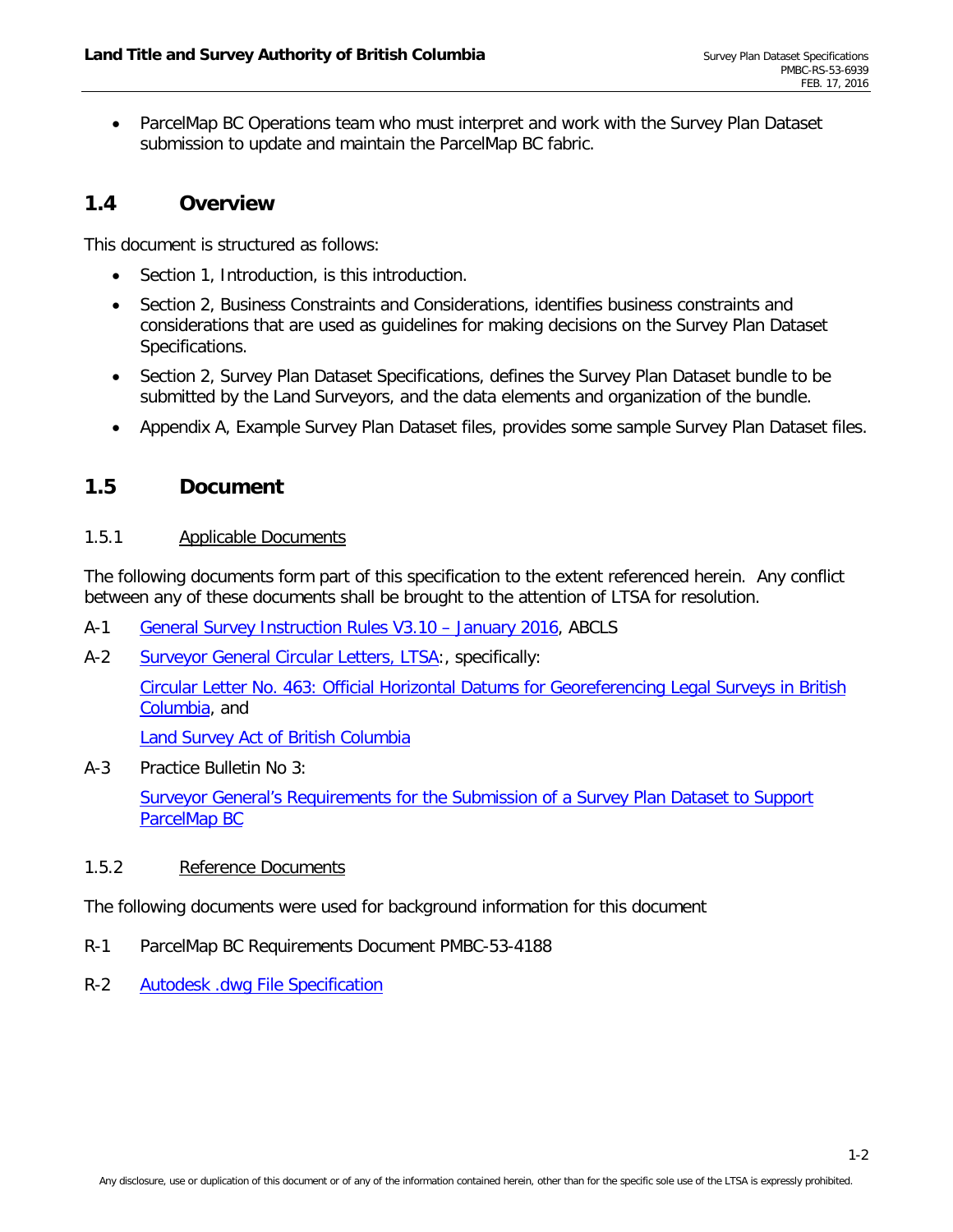• ParcelMap BC Operations team who must interpret and work with the Survey Plan Dataset submission to update and maintain the ParcelMap BC fabric.

## <span id="page-7-0"></span>**1.4 Overview**

This document is structured as follows:

- Section [1,](#page-6-0) Introduction, is this introduction.
- Section [2,](#page-8-0) Business Constraints and Considerations, identifies business constraints and considerations that are used as guidelines for making decisions on the Survey Plan Dataset Specifications.
- Section 2, Survey Plan Dataset Specifications, defines the Survey Plan Dataset bundle to be submitted by the Land Surveyors, and the data elements and organization of the bundle.
- <span id="page-7-1"></span>• Appendix [A,](#page-20-0) Example Survey Plan Dataset files, provides some sample Survey Plan Dataset files.

## <span id="page-7-2"></span>**1.5 Document**

#### 1.5.1 Applicable Documents

The following documents form part of this specification to the extent referenced herein. Any conflict between any of these documents shall be brought to the attention of LTSA for resolution.

- <span id="page-7-6"></span>A-1 [General Survey Instruction Rules V3.10 –](http://www.abcls.ca/wp-content/uploads/pdfs/General_Survey_Instruction_Rules_V3.10-January2016.pdf) January 2016, ABCLS
- <span id="page-7-5"></span>A-2 [Surveyor General Circular Letters, LTSA:](https://ltsa.ca/practice-information/circular-letters), specifically:

[Circular Letter No. 463: Official Horizontal Datums for Georeferencing Legal Surveys in](https://ltsa.ca/circular-letter/circular-letter-no-463) British [Columbia,](https://ltsa.ca/circular-letter/circular-letter-no-463) and

[Land Survey Act of British Columbia](http://www.bclaws.ca/civix/document/id/complete/statreg/96247_01)

A-3 Practice Bulletin No 3:

[Surveyor General's Requirements for the Submission of a Survey Plan Dataset to Support](https://ltsa.ca/docs/Practice-Bulletin-No-3-Dataset-Requirement-1.pdf)  [ParcelMap BC](https://ltsa.ca/docs/Practice-Bulletin-No-3-Dataset-Requirement-1.pdf)

#### <span id="page-7-3"></span>1.5.2 Reference Documents

The following documents were used for background information for this document

- <span id="page-7-4"></span>R-1 ParcelMap BC Requirements Document PMBC-53-4188
- R-2 [Autodesk .dwg File Specification](http://www.autodesk.com/products/dwg)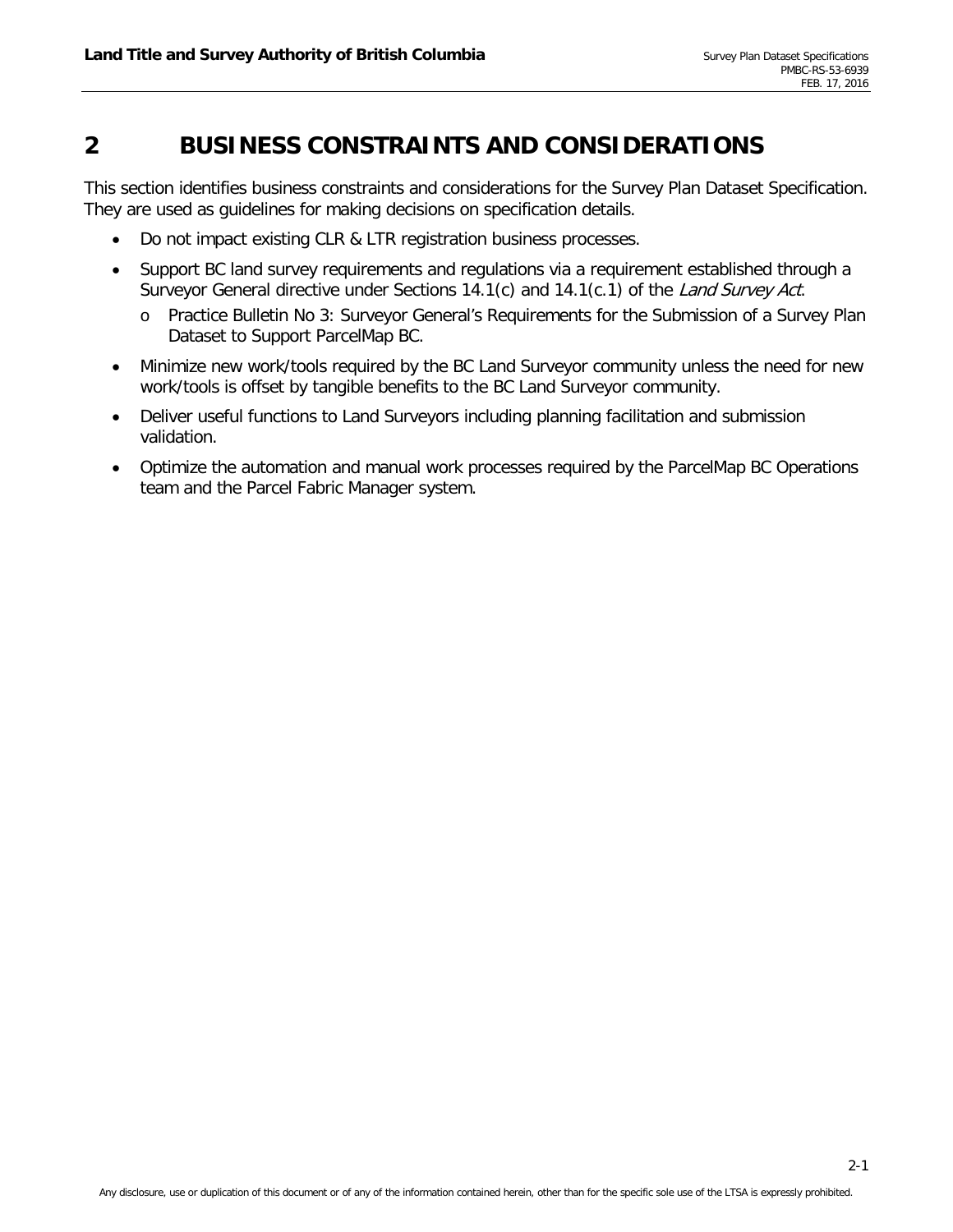# <span id="page-8-0"></span>**2 BUSINESS CONSTRAINTS AND CONSIDERATIONS**

This section identifies business constraints and considerations for the Survey Plan Dataset Specification. They are used as guidelines for making decisions on specification details.

- Do not impact existing CLR & LTR registration business processes.
- Support BC land survey requirements and regulations via a requirement established through a Surveyor General directive under Sections 14.1(c) and 14.1(c.1) of the Land Survey Act.
	- o Practice Bulletin No 3: Surveyor General's Requirements for the Submission of a Survey Plan Dataset to Support ParcelMap BC.
- Minimize new work/tools required by the BC Land Surveyor community unless the need for new work/tools is offset by tangible benefits to the BC Land Surveyor community.
- Deliver useful functions to Land Surveyors including planning facilitation and submission validation.
- Optimize the automation and manual work processes required by the ParcelMap BC Operations team and the Parcel Fabric Manager system.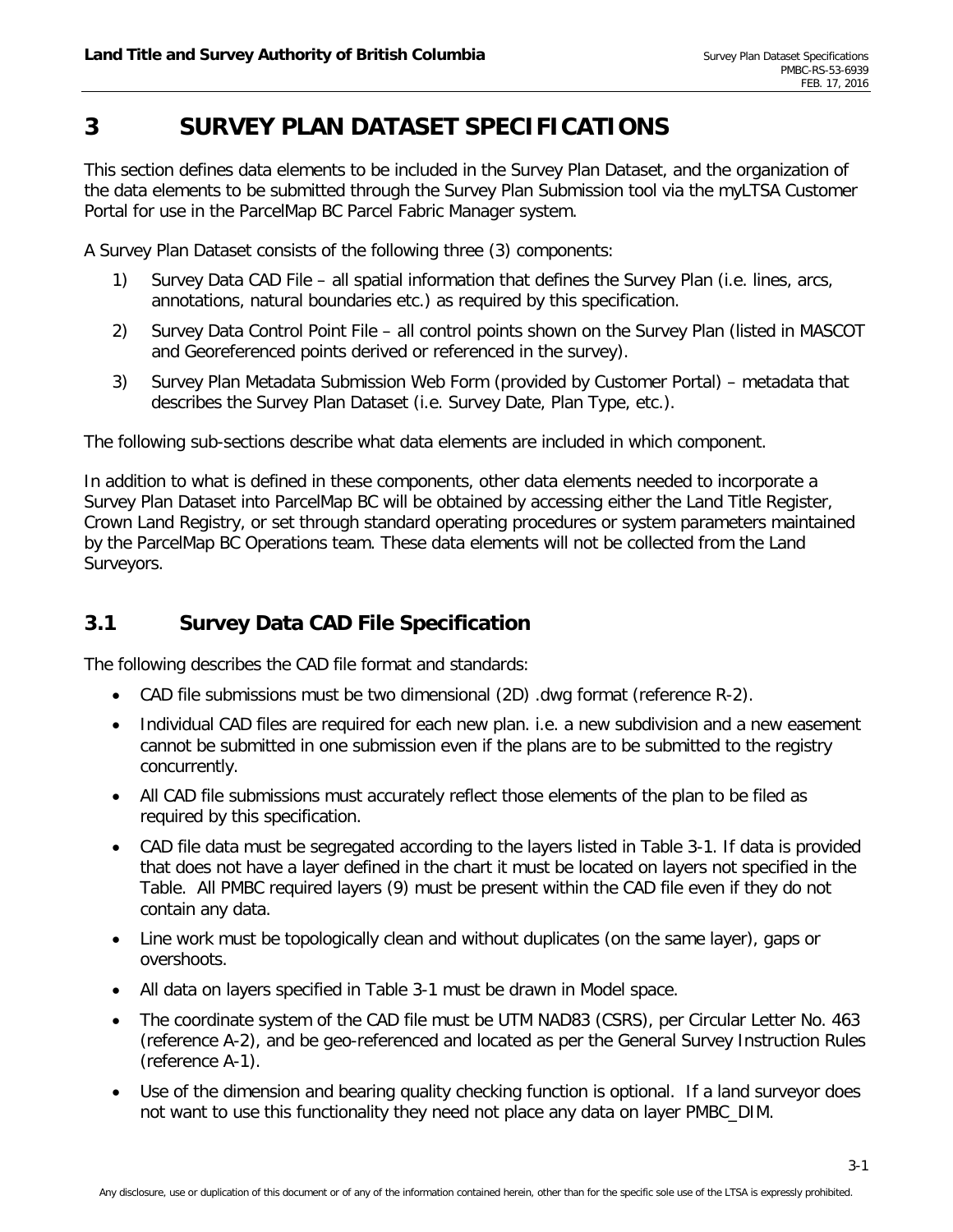# <span id="page-9-0"></span>**3 SURVEY PLAN DATASET SPECIFICATIONS**

This section defines data elements to be included in the Survey Plan Dataset, and the organization of the data elements to be submitted through the Survey Plan Submission tool via the myLTSA Customer Portal for use in the ParcelMap BC Parcel Fabric Manager system.

A Survey Plan Dataset consists of the following three (3) components:

- 1) Survey Data CAD File all spatial information that defines the Survey Plan (i.e. lines, arcs, annotations, natural boundaries etc.) as required by this specification.
- 2) Survey Data Control Point File all control points shown on the Survey Plan (listed in MASCOT and Georeferenced points derived or referenced in the survey).
- 3) Survey Plan Metadata Submission Web Form (provided by Customer Portal) metadata that describes the Survey Plan Dataset (i.e. Survey Date, Plan Type, etc.).

The following sub-sections describe what data elements are included in which component.

In addition to what is defined in these components, other data elements needed to incorporate a Survey Plan Dataset into ParcelMap BC will be obtained by accessing either the Land Title Register, Crown Land Registry, or set through standard operating procedures or system parameters maintained by the ParcelMap BC Operations team. These data elements will not be collected from the Land Surveyors.

## <span id="page-9-1"></span>**3.1 Survey Data CAD File Specification**

The following describes the CAD file format and standards:

- CAD file submissions must be two dimensional (2D) .dwg format (reference [R-2\)](#page-7-4).
- Individual CAD files are required for each new plan. i.e. a new subdivision and a new easement cannot be submitted in one submission even if the plans are to be submitted to the registry concurrently.
- All CAD file submissions must accurately reflect those elements of the plan to be filed as required by this specification.
- CAD file data must be segregated according to the layers listed in Table 3-1. If data is provided that does not have a layer defined in the chart it must be located on layers not specified in the Table. All PMBC required layers (9) must be present within the CAD file even if they do not contain any data.
- Line work must be topologically clean and without duplicates (on the same layer), gaps or overshoots.
- All data on layers specified in [Table 3-1](#page-10-0) must be drawn in Model space.
- The coordinate system of the CAD file must be UTM NAD83 (CSRS), per Circular Letter No. 463 (reference [A-2\)](#page-7-5), and be geo-referenced and located as per the General Survey Instruction Rules (reference [A-1\)](#page-7-6).
- Use of the dimension and bearing quality checking function is optional. If a land surveyor does not want to use this functionality they need not place any data on layer PMBC\_DIM.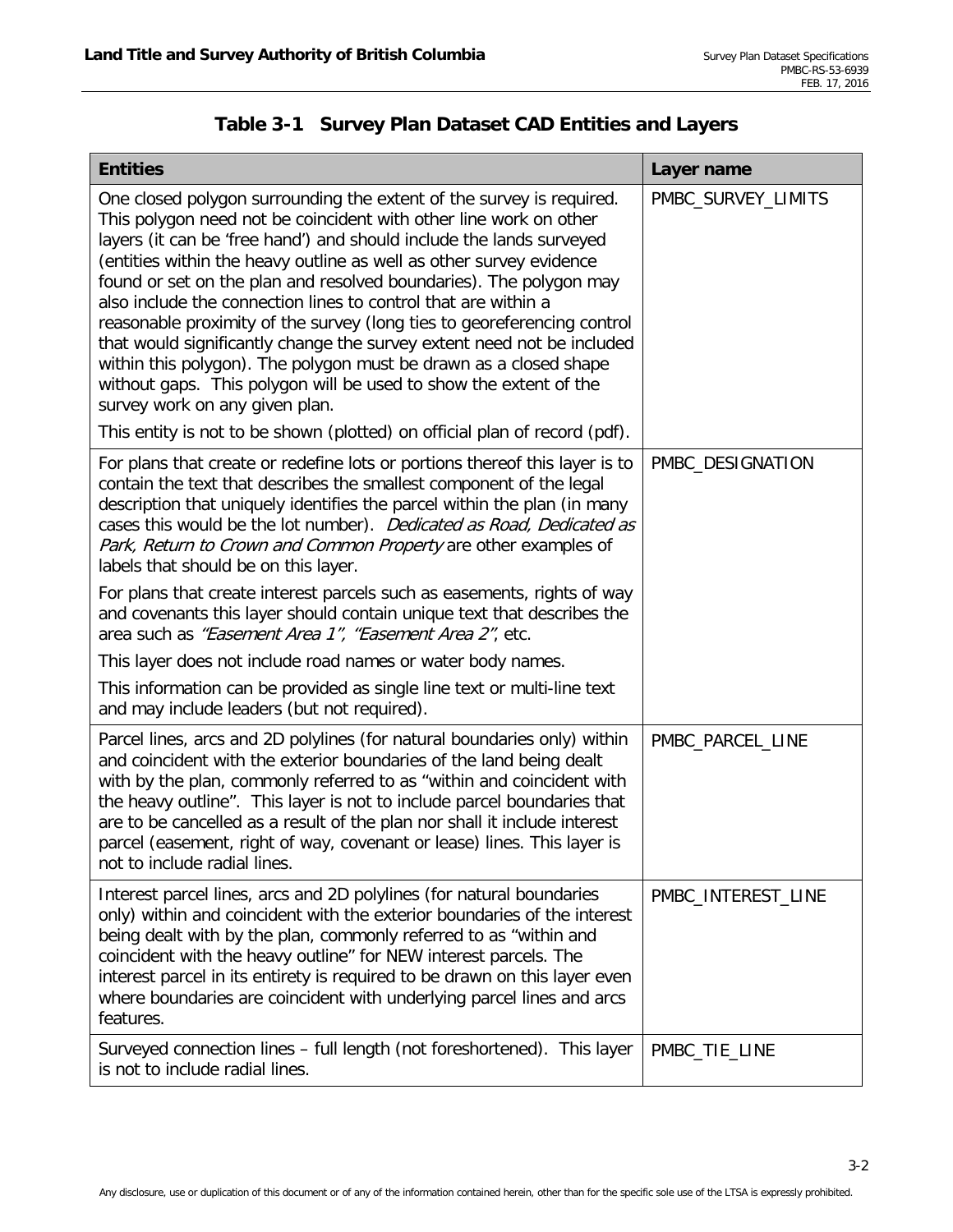<span id="page-10-0"></span>

| <b>Entities</b>                                                                                                                                                                                                                                                                                                                                                                                                                                                                                                                                                                                                                                                                                                                                                                                                                                 | Layer name         |
|-------------------------------------------------------------------------------------------------------------------------------------------------------------------------------------------------------------------------------------------------------------------------------------------------------------------------------------------------------------------------------------------------------------------------------------------------------------------------------------------------------------------------------------------------------------------------------------------------------------------------------------------------------------------------------------------------------------------------------------------------------------------------------------------------------------------------------------------------|--------------------|
| One closed polygon surrounding the extent of the survey is required.<br>This polygon need not be coincident with other line work on other<br>layers (it can be 'free hand') and should include the lands surveyed<br>(entities within the heavy outline as well as other survey evidence<br>found or set on the plan and resolved boundaries). The polygon may<br>also include the connection lines to control that are within a<br>reasonable proximity of the survey (long ties to georeferencing control<br>that would significantly change the survey extent need not be included<br>within this polygon). The polygon must be drawn as a closed shape<br>without gaps. This polygon will be used to show the extent of the<br>survey work on any given plan.<br>This entity is not to be shown (plotted) on official plan of record (pdf). | PMBC_SURVEY_LIMITS |
| For plans that create or redefine lots or portions thereof this layer is to<br>contain the text that describes the smallest component of the legal<br>description that uniquely identifies the parcel within the plan (in many<br>cases this would be the lot number). Dedicated as Road, Dedicated as<br>Park, Return to Crown and Common Property are other examples of<br>labels that should be on this layer.<br>For plans that create interest parcels such as easements, rights of way<br>and covenants this layer should contain unique text that describes the<br>area such as "Easement Area 1", "Easement Area 2", etc.<br>This layer does not include road names or water body names.<br>This information can be provided as single line text or multi-line text<br>and may include leaders (but not required).                      | PMBC_DESIGNATION   |
| Parcel lines, arcs and 2D polylines (for natural boundaries only) within<br>and coincident with the exterior boundaries of the land being dealt<br>with by the plan, commonly referred to as "within and coincident with<br>the heavy outline". This layer is not to include parcel boundaries that<br>are to be cancelled as a result of the plan nor shall it include interest<br>parcel (easement, right of way, covenant or lease) lines. This layer is<br>not to include radial lines.                                                                                                                                                                                                                                                                                                                                                     | PMBC_PARCEL_LINE   |
| Interest parcel lines, arcs and 2D polylines (for natural boundaries<br>only) within and coincident with the exterior boundaries of the interest<br>being dealt with by the plan, commonly referred to as "within and<br>coincident with the heavy outline" for NEW interest parcels. The<br>interest parcel in its entirety is required to be drawn on this layer even<br>where boundaries are coincident with underlying parcel lines and arcs<br>features.                                                                                                                                                                                                                                                                                                                                                                                   | PMBC_INTEREST_LINE |
| Surveyed connection lines - full length (not foreshortened). This layer<br>is not to include radial lines.                                                                                                                                                                                                                                                                                                                                                                                                                                                                                                                                                                                                                                                                                                                                      | PMBC_TIE_LINE      |

|  | Table 3-1 Survey Plan Dataset CAD Entities and Layers |  |
|--|-------------------------------------------------------|--|
|  |                                                       |  |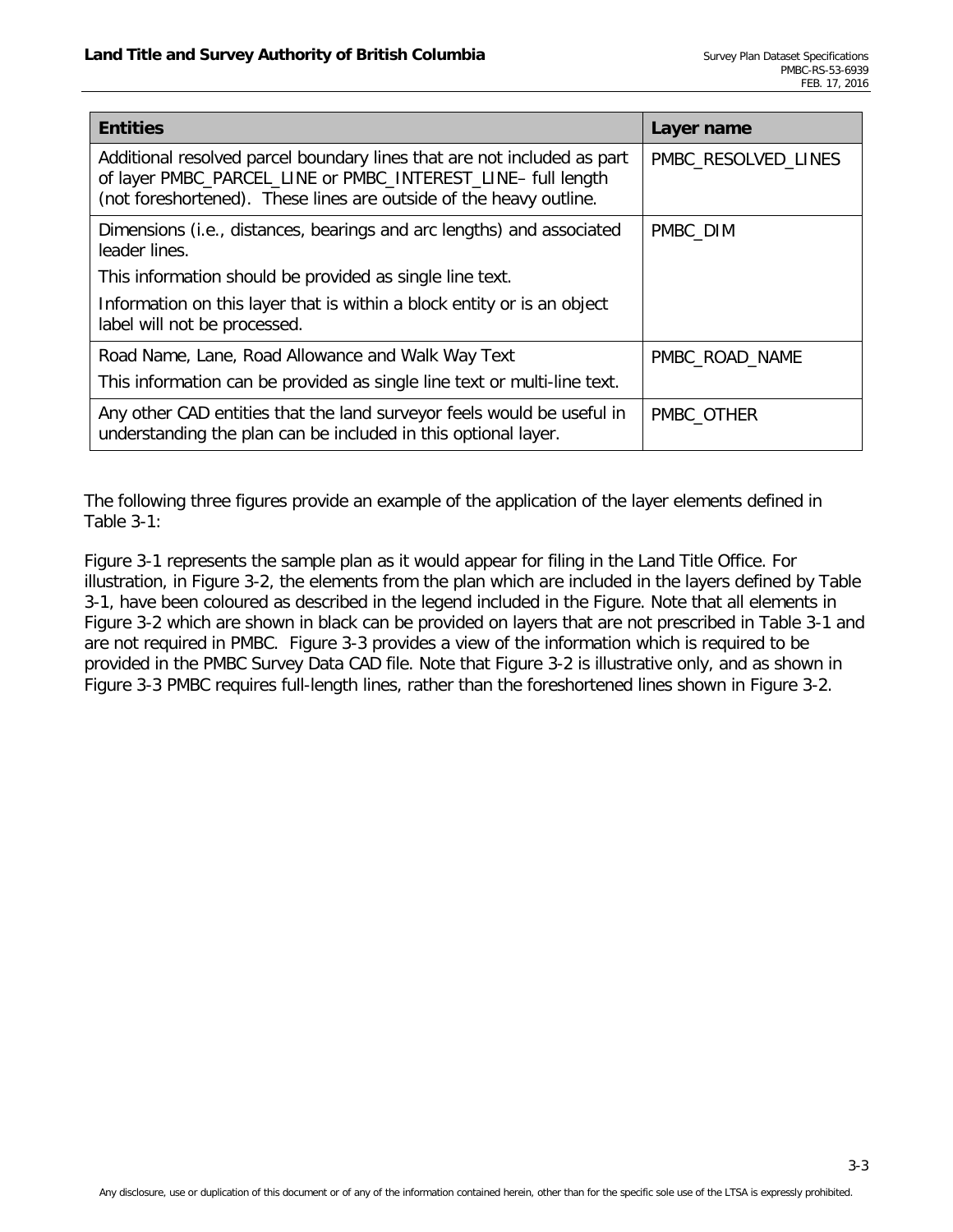| <b>Entities</b>                                                                                                                                                                                               | Layer name          |
|---------------------------------------------------------------------------------------------------------------------------------------------------------------------------------------------------------------|---------------------|
| Additional resolved parcel boundary lines that are not included as part<br>of layer PMBC_PARCEL_LINE or PMBC_INTEREST_LINE- full length<br>(not foreshortened). These lines are outside of the heavy outline. | PMBC_RESOLVED_LINES |
| Dimensions (i.e., distances, bearings and arc lengths) and associated<br>leader lines.                                                                                                                        | PMBC_DIM            |
| This information should be provided as single line text.                                                                                                                                                      |                     |
| Information on this layer that is within a block entity or is an object<br>label will not be processed.                                                                                                       |                     |
| Road Name, Lane, Road Allowance and Walk Way Text                                                                                                                                                             | PMBC_ROAD_NAME      |
| This information can be provided as single line text or multi-line text.                                                                                                                                      |                     |
| Any other CAD entities that the land surveyor feels would be useful in<br>understanding the plan can be included in this optional layer.                                                                      | PMBC_OTHER          |

The following three figures provide an example of the application of the layer elements defined in [Table 3-1:](#page-10-0)

[Figure 3-1](#page-12-0) represents the sample plan as it would appear for filing in the Land Title Office. For illustration, in [Figure 3-2,](#page-13-0) the elements from the plan which are included in the layers defined by [Table](#page-10-0)  [3-1,](#page-10-0) have been coloured as described in the legend included in the Figure. Note that all elements in [Figure 3-2](#page-13-0) which are shown in black can be provided on layers that are not prescribed in [Table 3-1](#page-10-0) and are not required in PMBC. [Figure 3-3](#page-14-1) provides a view of the information which is required to be provided in the PMBC Survey Data CAD file. Note that [Figure 3-2](#page-13-0) is illustrative only, and as shown in [Figure 3-3](#page-14-1) PMBC requires full-length lines, rather than the foreshortened lines shown in [Figure 3-2.](#page-13-0)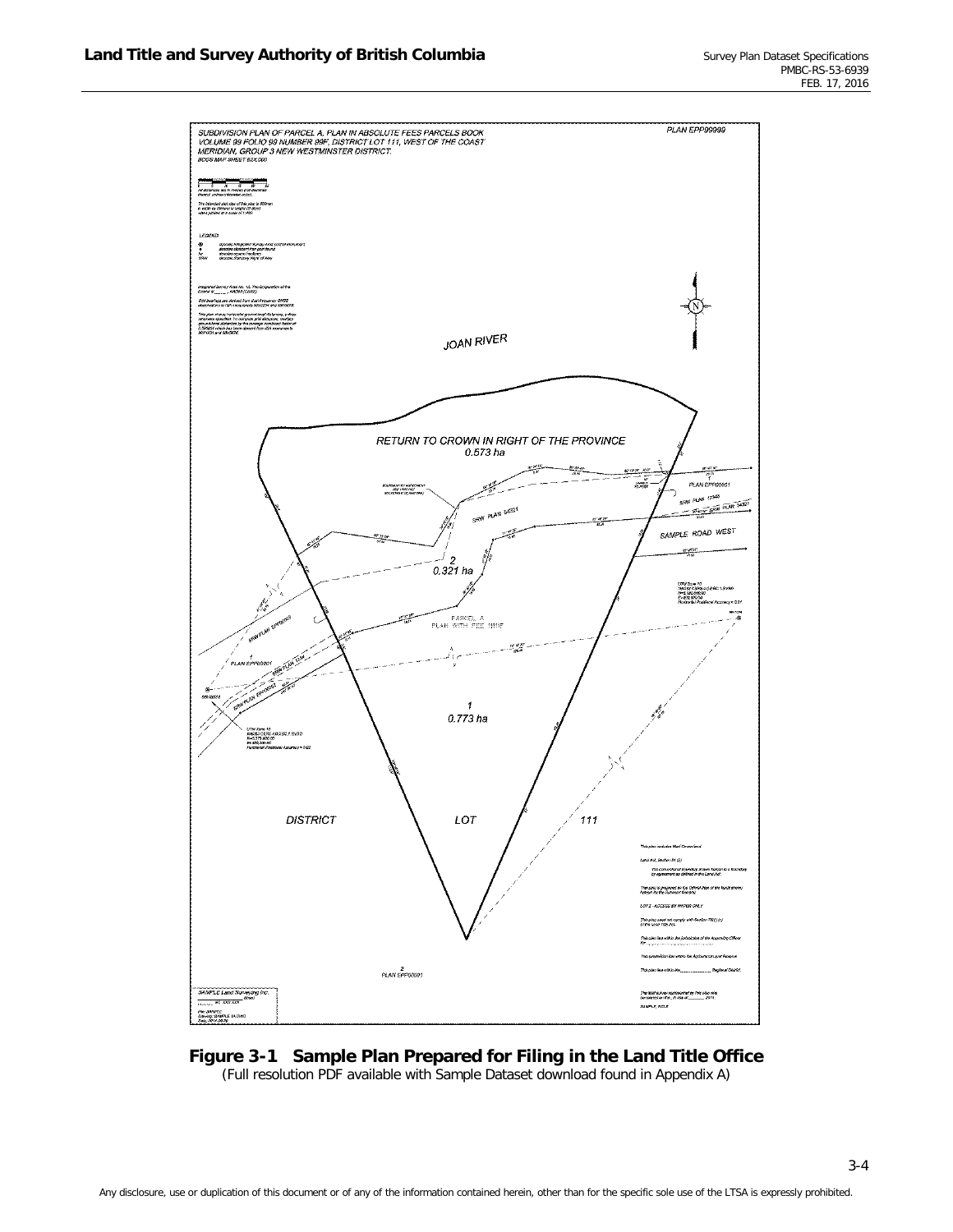

<span id="page-12-0"></span>**Figure 3-1 Sample Plan Prepared for Filing in the Land Title Office** (Full resolution PDF available with Sample Dataset download found in Appendix A)

3-4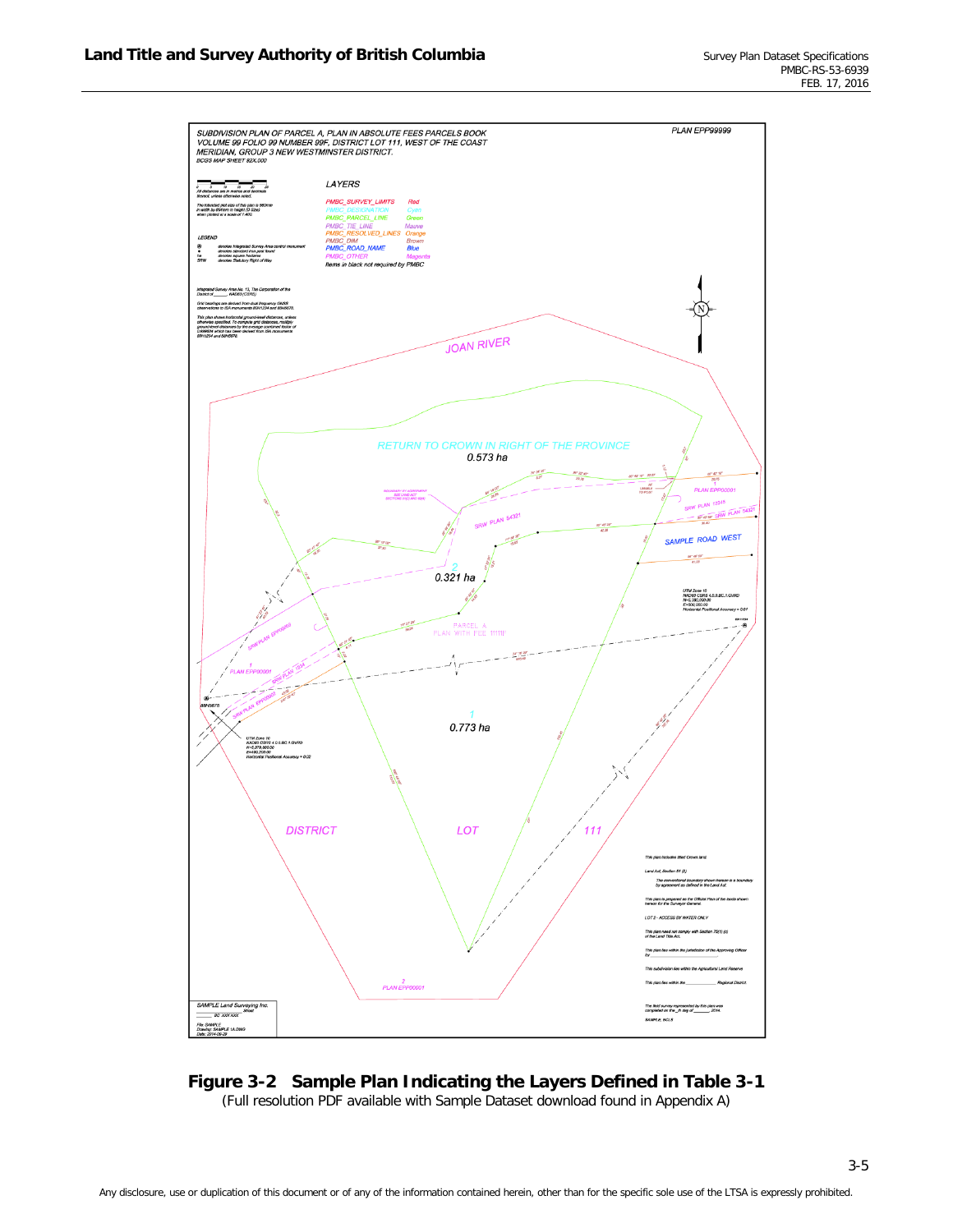

## <span id="page-13-0"></span>**Figure 3-2 Sample Plan Indicating the Layers Defined in [Table 3-1](#page-10-0)**

(Full resolution PDF available with Sample Dataset download found in Appendix A)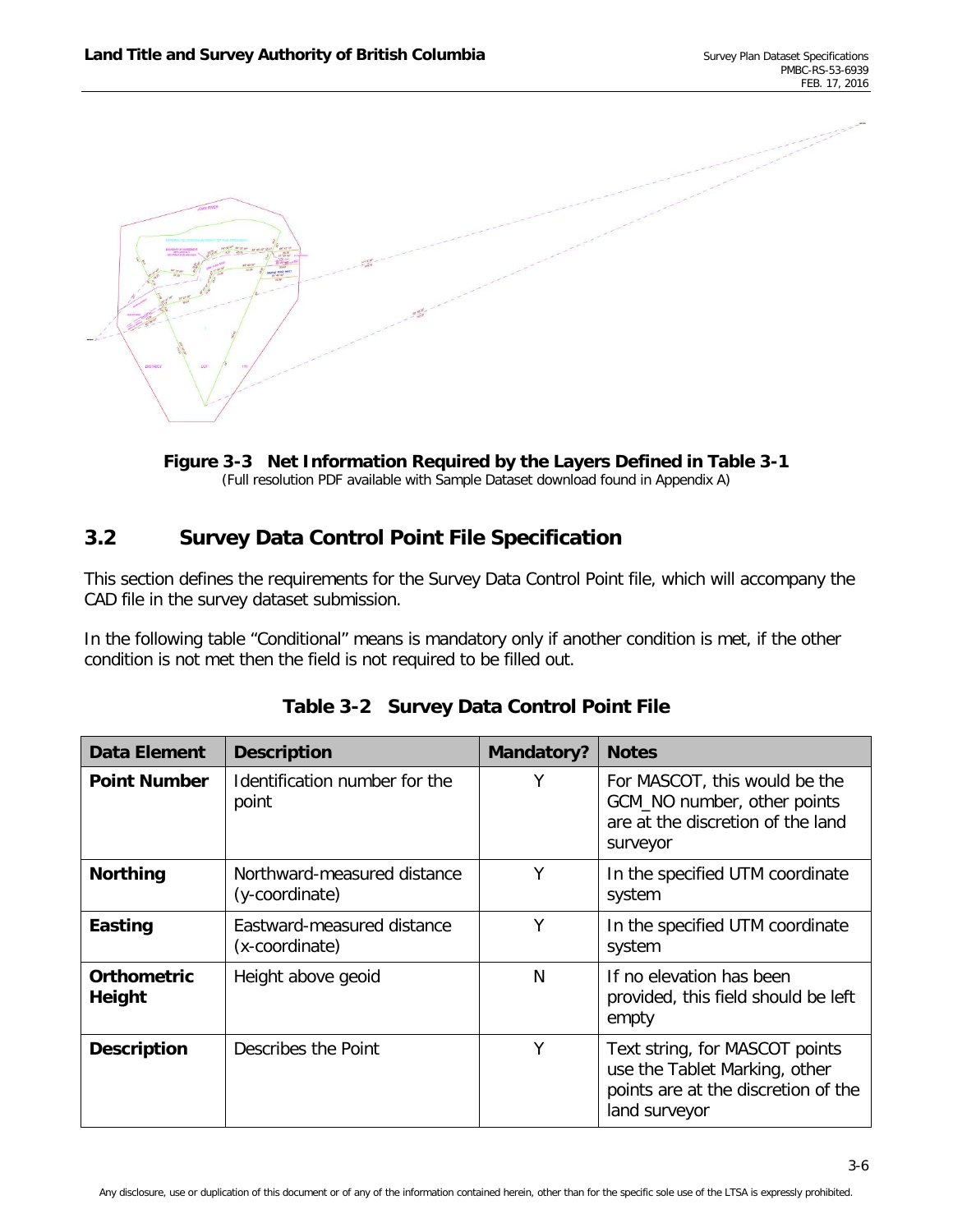

<span id="page-14-1"></span>

## <span id="page-14-0"></span>**3.2 Survey Data Control Point File Specification**

This section defines the requirements for the Survey Data Control Point file, which will accompany the CAD file in the survey dataset submission.

In the following table "Conditional" means is mandatory only if another condition is met, if the other condition is not met then the field is not required to be filled out.

| <b>Data Element</b>          | <b>Description</b>                            | <b>Mandatory?</b> | <b>Notes</b>                                                                                                            |
|------------------------------|-----------------------------------------------|-------------------|-------------------------------------------------------------------------------------------------------------------------|
| <b>Point Number</b>          | Identification number for the<br>point        | Υ                 | For MASCOT, this would be the<br>GCM_NO number, other points<br>are at the discretion of the land<br>surveyor           |
| <b>Northing</b>              | Northward-measured distance<br>(y-coordinate) | Υ                 | In the specified UTM coordinate<br>system                                                                               |
| Easting                      | Eastward-measured distance<br>(x-coordinate)  | γ                 | In the specified UTM coordinate<br>system                                                                               |
| <b>Orthometric</b><br>Height | Height above geoid                            | N                 | If no elevation has been<br>provided, this field should be left<br>empty                                                |
| <b>Description</b>           | Describes the Point                           | Υ                 | Text string, for MASCOT points<br>use the Tablet Marking, other<br>points are at the discretion of the<br>land surveyor |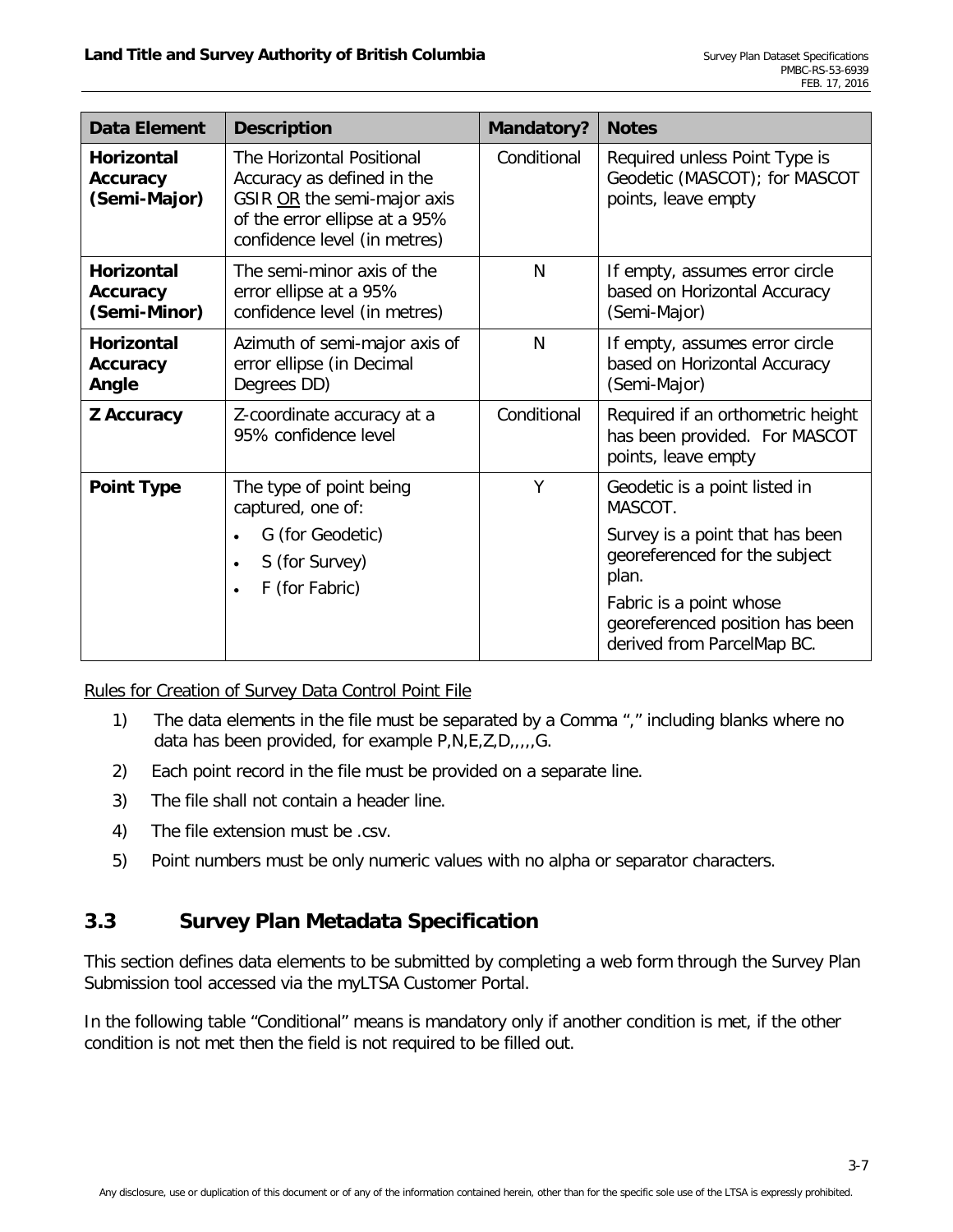| <b>Data Element</b>                                  | <b>Description</b>                                                                                                                                      | Mandatory?  | <b>Notes</b>                                                                                                                                                                                                      |
|------------------------------------------------------|---------------------------------------------------------------------------------------------------------------------------------------------------------|-------------|-------------------------------------------------------------------------------------------------------------------------------------------------------------------------------------------------------------------|
| <b>Horizontal</b><br>Accuracy<br>(Semi-Major)        | The Horizontal Positional<br>Accuracy as defined in the<br>GSIR OR the semi-major axis<br>of the error ellipse at a 95%<br>confidence level (in metres) | Conditional | Required unless Point Type is<br>Geodetic (MASCOT); for MASCOT<br>points, leave empty                                                                                                                             |
| <b>Horizontal</b><br><b>Accuracy</b><br>(Semi-Minor) | The semi-minor axis of the<br>error ellipse at a 95%<br>confidence level (in metres)                                                                    | N           | If empty, assumes error circle<br>based on Horizontal Accuracy<br>(Semi-Major)                                                                                                                                    |
| <b>Horizontal</b><br><b>Accuracy</b><br>Angle        | Azimuth of semi-major axis of<br>error ellipse (in Decimal<br>Degrees DD)                                                                               | N           | If empty, assumes error circle<br>based on Horizontal Accuracy<br>(Semi-Major)                                                                                                                                    |
| <b>Z</b> Accuracy                                    | Z-coordinate accuracy at a<br>95% confidence level                                                                                                      | Conditional | Required if an orthometric height<br>has been provided. For MASCOT<br>points, leave empty                                                                                                                         |
| <b>Point Type</b>                                    | The type of point being<br>captured, one of:<br>G (for Geodetic)<br>S (for Survey)<br>F (for Fabric)                                                    | Y           | Geodetic is a point listed in<br>MASCOT.<br>Survey is a point that has been<br>georeferenced for the subject<br>plan.<br>Fabric is a point whose<br>georeferenced position has been<br>derived from ParcelMap BC. |

Rules for Creation of Survey Data Control Point File

- 1) The data elements in the file must be separated by a Comma "," including blanks where no data has been provided, for example P,N,E,Z,D,,,,,G.
- 2) Each point record in the file must be provided on a separate line.
- 3) The file shall not contain a header line.
- 4) The file extension must be .csv.
- 5) Point numbers must be only numeric values with no alpha or separator characters.

## <span id="page-15-0"></span>**3.3 Survey Plan Metadata Specification**

This section defines data elements to be submitted by completing a web form through the Survey Plan Submission tool accessed via the myLTSA Customer Portal.

In the following table "Conditional" means is mandatory only if another condition is met, if the other condition is not met then the field is not required to be filled out.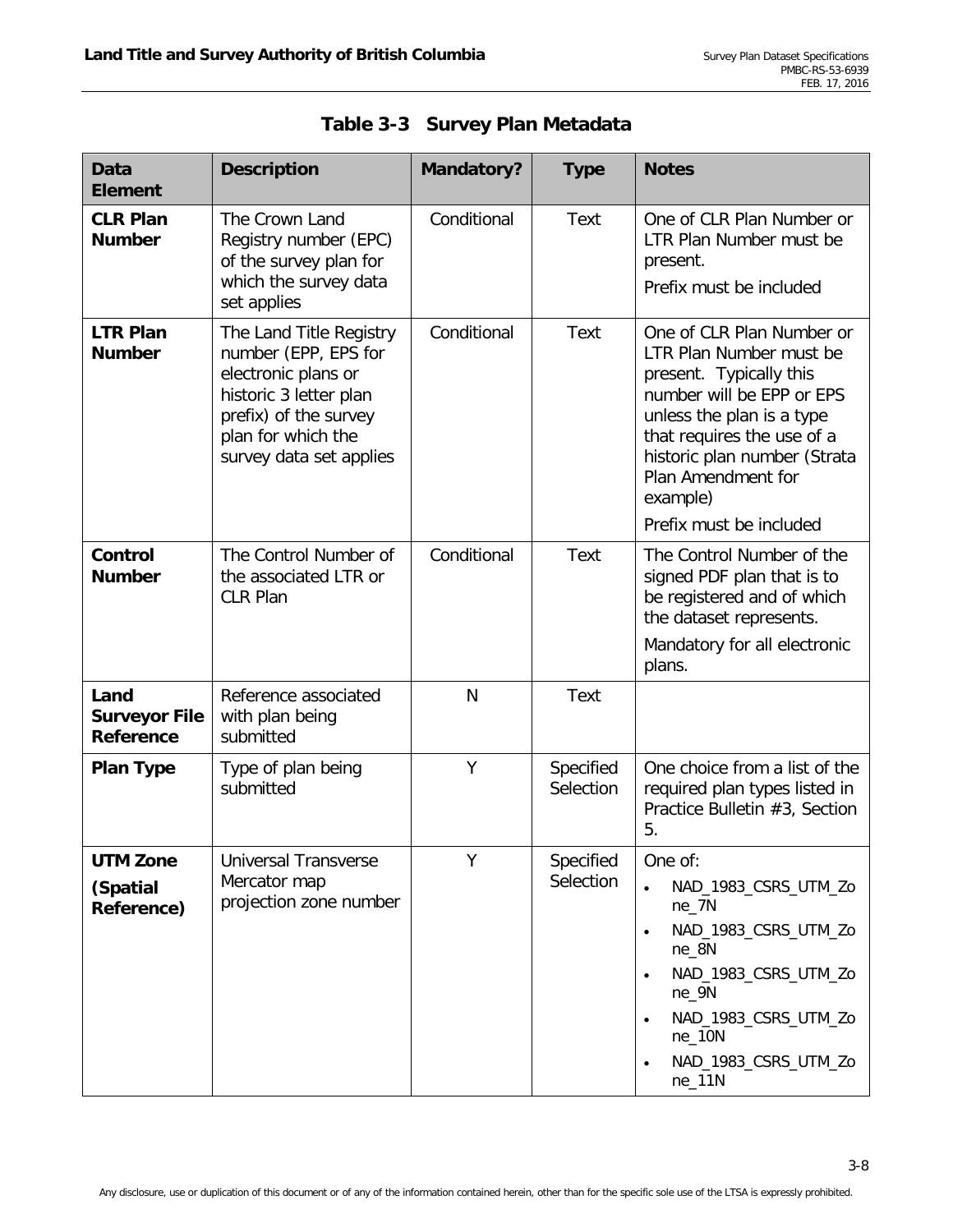| <b>Data</b><br><b>Element</b>             | <b>Description</b>                                                                                                                                                         | <b>Mandatory?</b> | <b>Type</b>            | <b>Notes</b>                                                                                                                                                                                                                                                         |
|-------------------------------------------|----------------------------------------------------------------------------------------------------------------------------------------------------------------------------|-------------------|------------------------|----------------------------------------------------------------------------------------------------------------------------------------------------------------------------------------------------------------------------------------------------------------------|
| <b>CLR Plan</b><br><b>Number</b>          | The Crown Land<br>Registry number (EPC)<br>of the survey plan for<br>which the survey data<br>set applies                                                                  | Conditional       | <b>Text</b>            | One of CLR Plan Number or<br>LTR Plan Number must be<br>present.<br>Prefix must be included                                                                                                                                                                          |
| <b>LTR Plan</b><br><b>Number</b>          | The Land Title Registry<br>number (EPP, EPS for<br>electronic plans or<br>historic 3 letter plan<br>prefix) of the survey<br>plan for which the<br>survey data set applies | Conditional       | Text                   | One of CLR Plan Number or<br>LTR Plan Number must be<br>present. Typically this<br>number will be EPP or EPS<br>unless the plan is a type<br>that requires the use of a<br>historic plan number (Strata<br>Plan Amendment for<br>example)<br>Prefix must be included |
| Control<br><b>Number</b>                  | The Control Number of<br>the associated LTR or<br><b>CLR Plan</b>                                                                                                          | Conditional       | <b>Text</b>            | The Control Number of the<br>signed PDF plan that is to<br>be registered and of which<br>the dataset represents.<br>Mandatory for all electronic<br>plans.                                                                                                           |
| Land<br><b>Surveyor File</b><br>Reference | Reference associated<br>with plan being<br>submitted                                                                                                                       | N                 | Text                   |                                                                                                                                                                                                                                                                      |
| <b>Plan Type</b>                          | Type of plan being<br>submitted                                                                                                                                            | Υ                 | Specified<br>Selection | One choice from a list of the<br>required plan types listed in<br>Practice Bulletin #3, Section<br>5.                                                                                                                                                                |
| <b>UTM Zone</b><br>(Spatial<br>Reference) | <b>Universal Transverse</b><br>Mercator map<br>projection zone number                                                                                                      | Y                 | Specified<br>Selection | One of:<br>NAD_1983_CSRS_UTM_Zo<br>$ne_7N$<br>NAD_1983_CSRS_UTM_Zo<br>$ne_8N$<br>NAD_1983_CSRS_UTM_Zo<br>$\bullet$<br>$ne_9N$<br>NAD_1983_CSRS_UTM_Zo<br>$\bullet$<br>$ne_1$ 0N<br>NAD_1983_CSRS_UTM_Zo<br>$ne_11N$                                                  |

| Table 3-3 Survey Plan Metadata |  |
|--------------------------------|--|
|                                |  |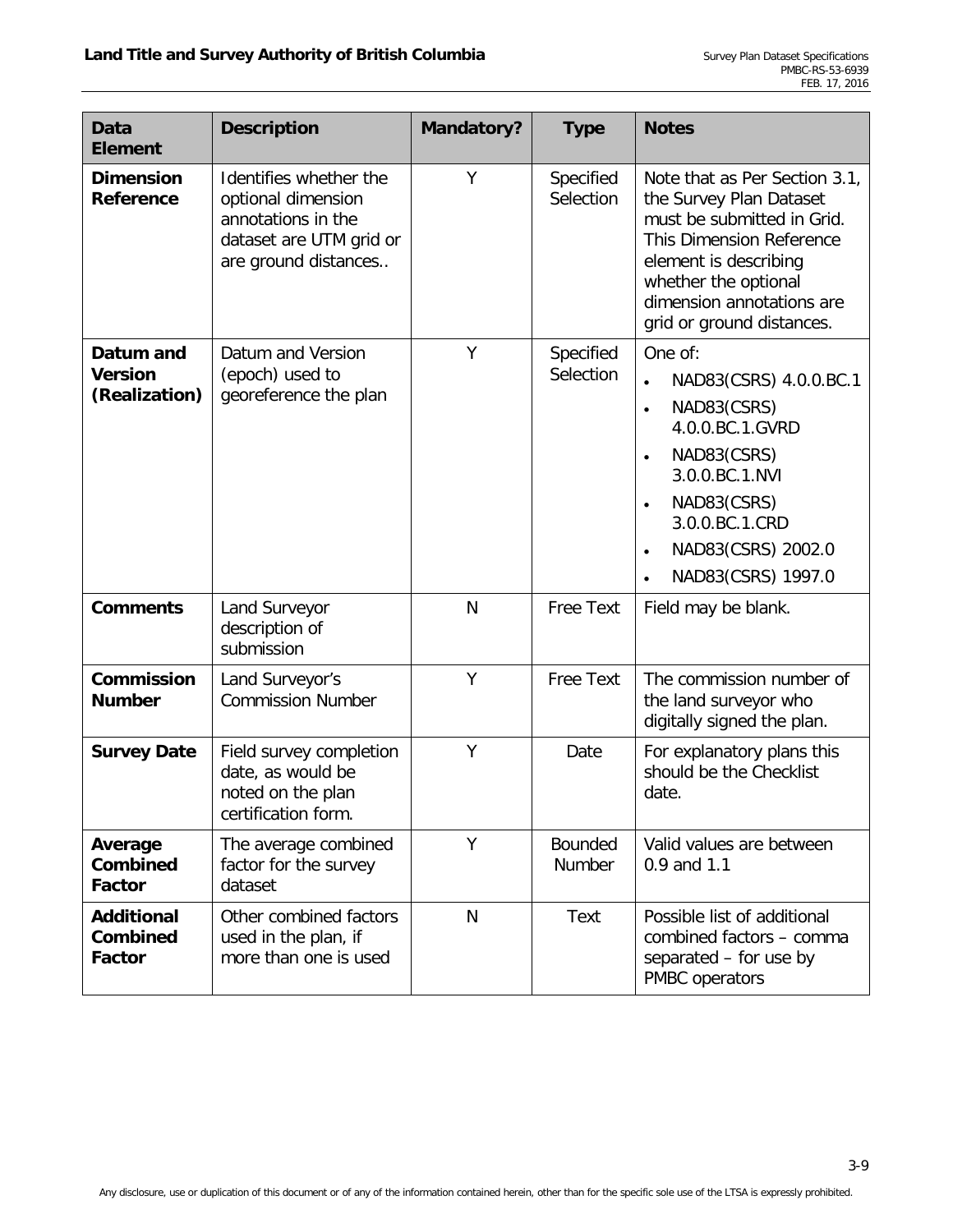| <b>Data</b><br><b>Element</b>                  | <b>Description</b>                                                                                                    | <b>Mandatory?</b> | <b>Type</b>            | <b>Notes</b>                                                                                                                                                                                                                                                    |
|------------------------------------------------|-----------------------------------------------------------------------------------------------------------------------|-------------------|------------------------|-----------------------------------------------------------------------------------------------------------------------------------------------------------------------------------------------------------------------------------------------------------------|
| <b>Dimension</b><br>Reference                  | Identifies whether the<br>optional dimension<br>annotations in the<br>dataset are UTM grid or<br>are ground distances | Y                 | Specified<br>Selection | Note that as Per Section 3.1,<br>the Survey Plan Dataset<br>must be submitted in Grid.<br>This Dimension Reference<br>element is describing<br>whether the optional<br>dimension annotations are<br>grid or ground distances.                                   |
| Datum and<br><b>Version</b><br>(Realization)   | Datum and Version<br>(epoch) used to<br>georeference the plan                                                         | Y                 | Specified<br>Selection | One of:<br>NAD83(CSRS) 4.0.0.BC.1<br>$\bullet$<br>NAD83(CSRS)<br>$\bullet$<br>4.0.0.BC.1.GVRD<br>NAD83(CSRS)<br>$\bullet$<br>3.0.0.BC.1.NVI<br>NAD83(CSRS)<br>$\bullet$<br>3.0.0.BC.1.CRD<br>NAD83(CSRS) 2002.0<br>$\bullet$<br>NAD83(CSRS) 1997.0<br>$\bullet$ |
| <b>Comments</b>                                | Land Surveyor<br>description of<br>submission                                                                         | N                 | Free Text              | Field may be blank.                                                                                                                                                                                                                                             |
| <b>Commission</b><br><b>Number</b>             | Land Surveyor's<br><b>Commission Number</b>                                                                           | Y                 | Free Text              | The commission number of<br>the land surveyor who<br>digitally signed the plan.                                                                                                                                                                                 |
| <b>Survey Date</b>                             | Field survey completion<br>date, as would be<br>noted on the plan<br>certification form.                              | Y                 | Date                   | For explanatory plans this<br>should be the Checklist<br>date.                                                                                                                                                                                                  |
| Average<br><b>Combined</b><br><b>Factor</b>    | The average combined<br>factor for the survey<br>dataset                                                              | Y                 | Bounded<br>Number      | Valid values are between<br>0.9 and 1.1                                                                                                                                                                                                                         |
| <b>Additional</b><br><b>Combined</b><br>Factor | Other combined factors<br>used in the plan, if<br>more than one is used                                               | N                 | Text                   | Possible list of additional<br>combined factors - comma<br>separated - for use by<br>PMBC operators                                                                                                                                                             |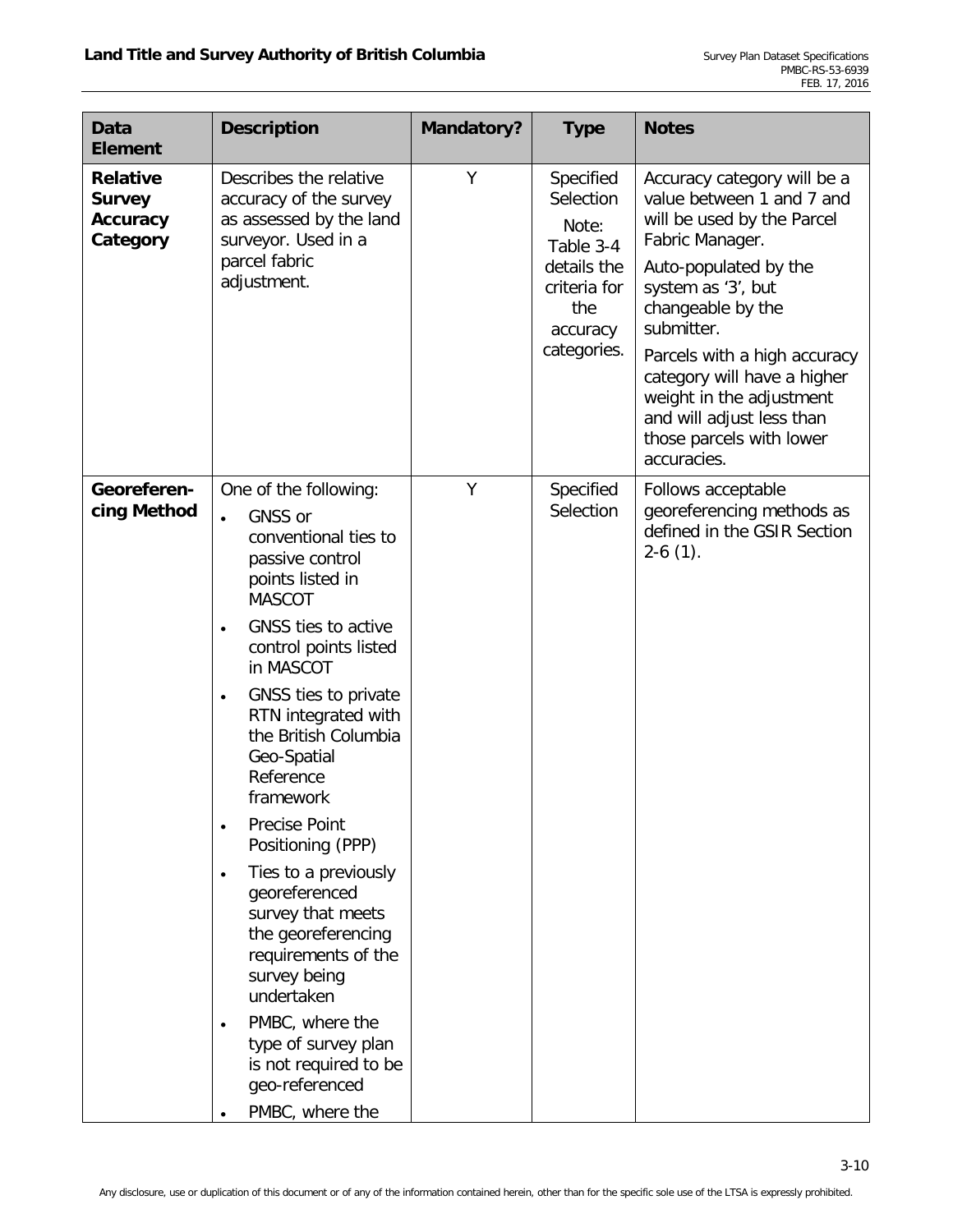| <b>Data</b><br><b>Element</b>                            | <b>Description</b>                                                                                                                                                                                                                                                                                                                                                                                                                                                                                                                                                                                                                                                        | <b>Mandatory?</b> | <b>Type</b>                                                                                                   | <b>Notes</b>                                                                                                                                                                                                                                                                                                                                                   |
|----------------------------------------------------------|---------------------------------------------------------------------------------------------------------------------------------------------------------------------------------------------------------------------------------------------------------------------------------------------------------------------------------------------------------------------------------------------------------------------------------------------------------------------------------------------------------------------------------------------------------------------------------------------------------------------------------------------------------------------------|-------------------|---------------------------------------------------------------------------------------------------------------|----------------------------------------------------------------------------------------------------------------------------------------------------------------------------------------------------------------------------------------------------------------------------------------------------------------------------------------------------------------|
| <b>Relative</b><br><b>Survey</b><br>Accuracy<br>Category | Describes the relative<br>accuracy of the survey<br>as assessed by the land<br>surveyor. Used in a<br>parcel fabric<br>adjustment.                                                                                                                                                                                                                                                                                                                                                                                                                                                                                                                                        | Y                 | Specified<br>Selection<br>Note:<br>Table 3-4<br>details the<br>criteria for<br>the<br>accuracy<br>categories. | Accuracy category will be a<br>value between 1 and 7 and<br>will be used by the Parcel<br>Fabric Manager.<br>Auto-populated by the<br>system as '3', but<br>changeable by the<br>submitter.<br>Parcels with a high accuracy<br>category will have a higher<br>weight in the adjustment<br>and will adjust less than<br>those parcels with lower<br>accuracies. |
| Georeferen-<br>cing Method                               | One of the following:<br>GNSS or<br>$\bullet$<br>conventional ties to<br>passive control<br>points listed in<br><b>MASCOT</b><br>GNSS ties to active<br>$\bullet$<br>control points listed<br>in MASCOT<br>GNSS ties to private<br>$\bullet$<br>RTN integrated with<br>the British Columbia<br>Geo-Spatial<br>Reference<br>framework<br><b>Precise Point</b><br>$\bullet$<br>Positioning (PPP)<br>Ties to a previously<br>$\bullet$<br>georeferenced<br>survey that meets<br>the georeferencing<br>requirements of the<br>survey being<br>undertaken<br>PMBC, where the<br>$\bullet$<br>type of survey plan<br>is not required to be<br>geo-referenced<br>PMBC, where the | Y                 | Specified<br>Selection                                                                                        | Follows acceptable<br>georeferencing methods as<br>defined in the GSIR Section<br>$2-6(1)$ .                                                                                                                                                                                                                                                                   |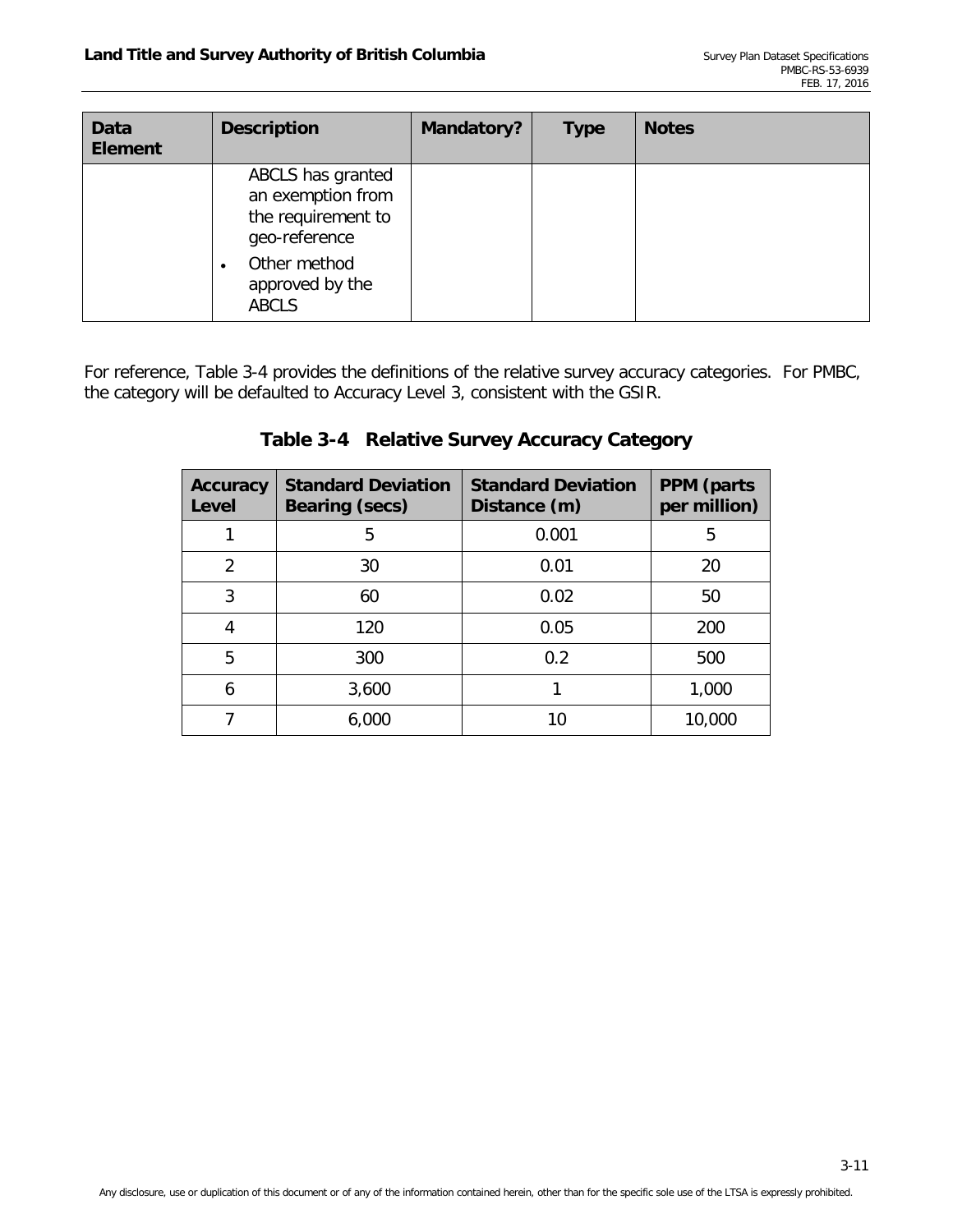| <b>Data</b><br><b>Element</b> | <b>Description</b>                                                            | <b>Mandatory?</b> | <b>Type</b> | <b>Notes</b> |
|-------------------------------|-------------------------------------------------------------------------------|-------------------|-------------|--------------|
|                               | ABCLS has granted<br>an exemption from<br>the requirement to<br>geo-reference |                   |             |              |
|                               | Other method<br>$\bullet$<br>approved by the<br><b>ABCLS</b>                  |                   |             |              |

<span id="page-19-0"></span>For reference, [Table 3-4](#page-19-0) provides the definitions of the relative survey accuracy categories. For PMBC, the category will be defaulted to Accuracy Level 3, consistent with the GSIR.

| <b>Accuracy</b><br>Level | <b>Standard Deviation</b><br><b>Bearing (secs)</b> | <b>Standard Deviation</b><br>Distance (m) | <b>PPM</b> (parts<br>per million) |
|--------------------------|----------------------------------------------------|-------------------------------------------|-----------------------------------|
|                          | 5                                                  | 0.001                                     | 5                                 |
| $\mathcal{P}$            | 30                                                 | 0.01                                      | 20                                |
| 3                        | 60                                                 | 0.02                                      | 50                                |
|                          | 120                                                | 0.05                                      | 200                               |
| 5                        | 300                                                | 0.2                                       | 500                               |
| 6                        | 3,600                                              |                                           | 1,000                             |
|                          | 6,000                                              | 10                                        | 10,000                            |

## **Table 3-4 Relative Survey Accuracy Category**